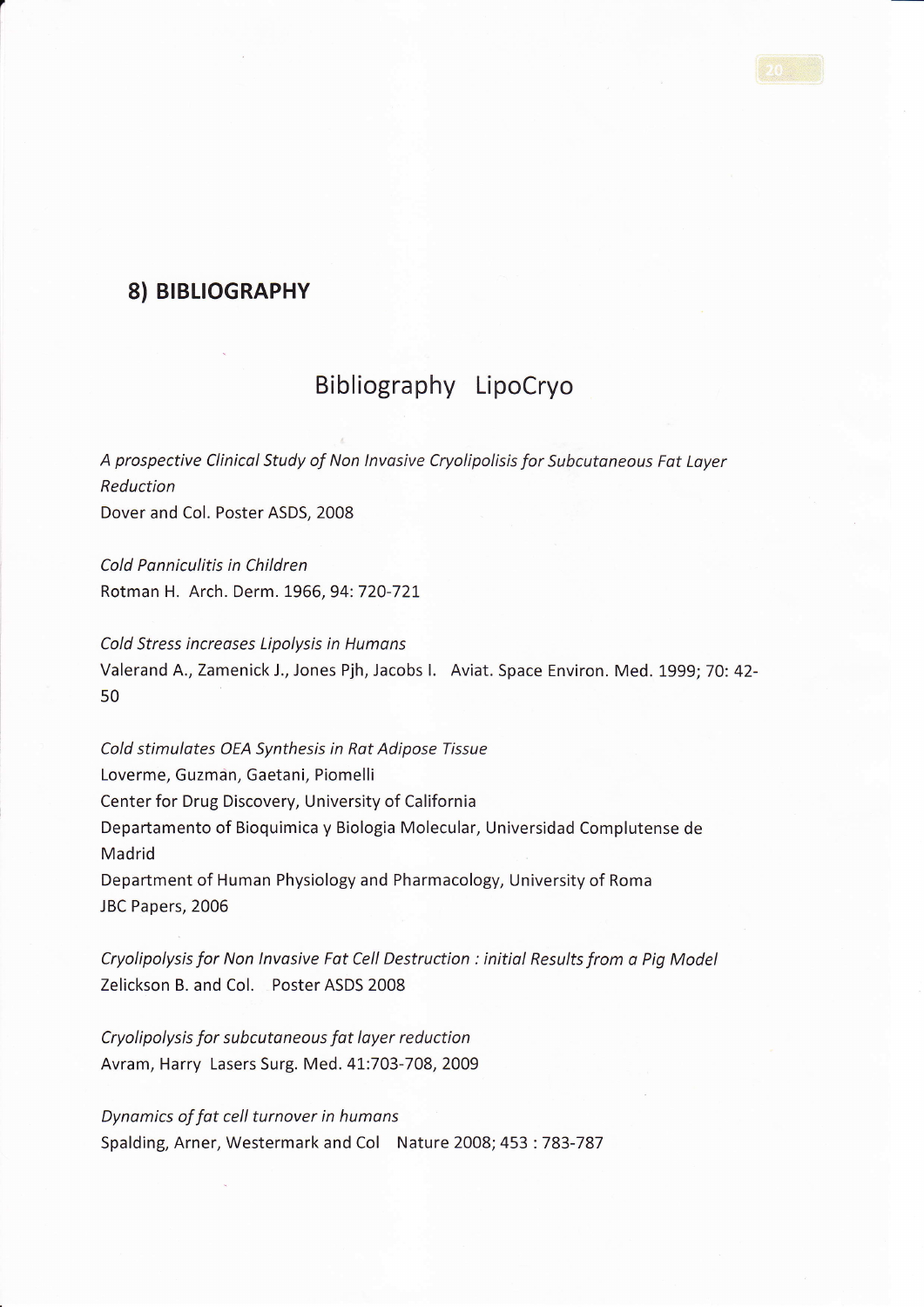## 8) BIBLIOGRAPHY

## Bibliography LipoCryo

A prospective Clinical Study of Non Invasive Cryolipolisis for Subcutaneous Fat Layer Reduction Dover and Col. Poster ASDS, 2008

Cold Ponniculitis in Children Rotman H. Arch. Derm. 1966,94:720-721

Cold Stress increases Lipolysis in Humans Valerand A., Zamenick J., Jones Pjh, Jacobs I. Aviat. Space Environ. Med. 1999; 70: 42-50

Cold stimulotes OEA Synthesis in Rat Adipose Tissue Loverme, Guzman, Gaetani, Piomelli Center for Drug Discovery, University of California Departamento of Bioquimica y Biologia Molecular, Universidad Complutense de Madrid Department of Human Physiology and Pharmacology, University of Roma JBC Papers, 2006

Cryolipolysis for Non lnvasive Fot Cell Destruction : initial Results from o Pig Model Zelickson B. and Col. Poster ASDS 2008

Cryolipolysis for subcutaneous fot loyer reduction Avram, Harry Lasers Surg. Med. 4L:703-708,2009

Dynamics of fat cell turnover in humans Spalding, Arner, Westermark and Col Nature 2008; 453:783-787